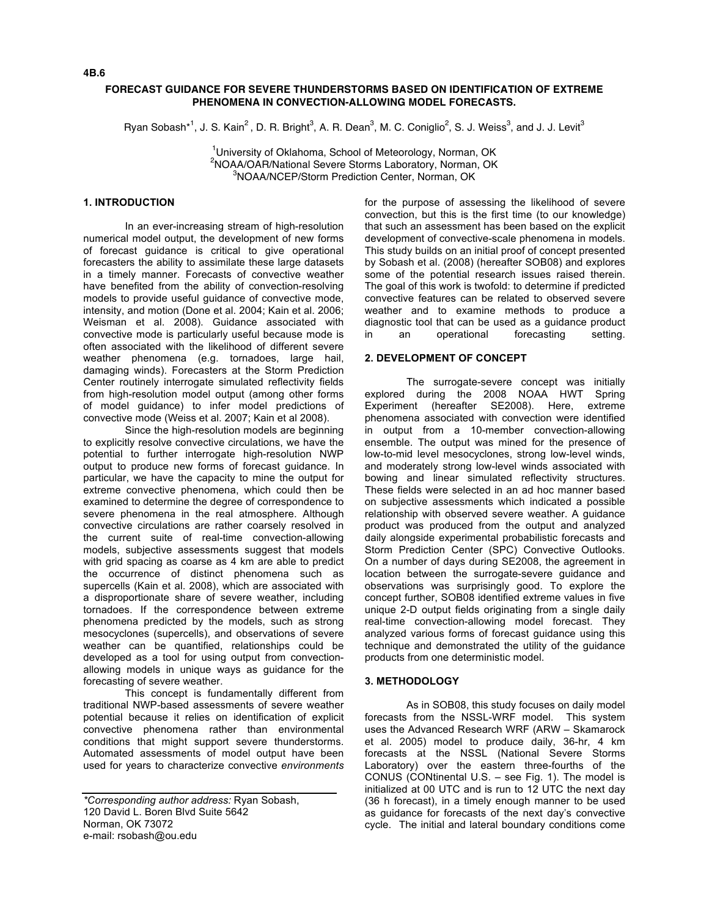## **FORECAST GUIDANCE FOR SEVERE THUNDERSTORMS BASED ON IDENTIFICATION OF EXTREME PHENOMENA IN CONVECTION-ALLOWING MODEL FORECASTS.**

 $R$ yan Sobash $*^1$ , J. S. Kain $^2$ , D. R. Bright $^3$ , A. R. Dean $^3$ , M. C. Coniglio $^2$ , S. J. Weiss $^3$ , and J. J. Levit $^3$ 

<sup>1</sup>University of Oklahoma, School of Meteorology, Norman, OK <sup>2</sup>NOAA/OAR/National Severe Storms Laboratory, Norman, OK<br><sup>3</sup>NOAA/NCER/Sterm Bredigtion Center, Norman, OK <sup>3</sup>NOAA/NCEP/Storm Prediction Center, Norman, OK

## **1. INTRODUCTION**

In an ever-increasing stream of high-resolution numerical model output, the development of new forms of forecast guidance is critical to give operational forecasters the ability to assimilate these large datasets in a timely manner. Forecasts of convective weather have benefited from the ability of convection-resolving models to provide useful guidance of convective mode, intensity, and motion (Done et al. 2004; Kain et al. 2006; Weisman et al. 2008). Guidance associated with convective mode is particularly useful because mode is often associated with the likelihood of different severe weather phenomena (e.g. tornadoes, large hail, damaging winds). Forecasters at the Storm Prediction Center routinely interrogate simulated reflectivity fields from high-resolution model output (among other forms of model guidance) to infer model predictions of convective mode (Weiss et al. 2007; Kain et al 2008).

Since the high-resolution models are beginning to explicitly resolve convective circulations, we have the potential to further interrogate high-resolution NWP output to produce new forms of forecast guidance. In particular, we have the capacity to mine the output for extreme convective phenomena, which could then be examined to determine the degree of correspondence to severe phenomena in the real atmosphere. Although convective circulations are rather coarsely resolved in the current suite of real-time convection-allowing models, subjective assessments suggest that models with grid spacing as coarse as 4 km are able to predict the occurrence of distinct phenomena such as supercells (Kain et al. 2008), which are associated with a disproportionate share of severe weather, including tornadoes. If the correspondence between extreme phenomena predicted by the models, such as strong mesocyclones (supercells), and observations of severe weather can be quantified, relationships could be developed as a tool for using output from convectionallowing models in unique ways as guidance for the forecasting of severe weather.

This concept is fundamentally different from traditional NWP-based assessments of severe weather potential because it relies on identification of explicit convective phenomena rather than environmental conditions that might support severe thunderstorms. Automated assessments of model output have been used for years to characterize convective *environments*

for the purpose of assessing the likelihood of severe convection, but this is the first time (to our knowledge) that such an assessment has been based on the explicit development of convective-scale phenomena in models. This study builds on an initial proof of concept presented by Sobash et al. (2008) (hereafter SOB08) and explores some of the potential research issues raised therein. The goal of this work is twofold: to determine if predicted convective features can be related to observed severe weather and to examine methods to produce a diagnostic tool that can be used as a guidance product in an operational forecasting setting.

#### **2. DEVELOPMENT OF CONCEPT**

The surrogate-severe concept was initially explored during the 2008 NOAA HWT Spring Experiment (hereafter SE2008). Here, extreme phenomena associated with convection were identified in output from a 10-member convection-allowing ensemble. The output was mined for the presence of low-to-mid level mesocyclones, strong low-level winds, and moderately strong low-level winds associated with bowing and linear simulated reflectivity structures. These fields were selected in an ad hoc manner based on subjective assessments which indicated a possible relationship with observed severe weather. A guidance product was produced from the output and analyzed daily alongside experimental probabilistic forecasts and Storm Prediction Center (SPC) Convective Outlooks. On a number of days during SE2008, the agreement in location between the surrogate-severe guidance and observations was surprisingly good. To explore the concept further, SOB08 identified extreme values in five unique 2-D output fields originating from a single daily real-time convection-allowing model forecast. They analyzed various forms of forecast guidance using this technique and demonstrated the utility of the guidance products from one deterministic model.

#### **3. METHODOLOGY**

As in SOB08, this study focuses on daily model forecasts from the NSSL-WRF model. This system uses the Advanced Research WRF (ARW – Skamarock et al. 2005) model to produce daily, 36-hr, 4 km forecasts at the NSSL (National Severe Storms Laboratory) over the eastern three-fourths of the CONUS (CONtinental U.S. – see Fig. 1). The model is initialized at 00 UTC and is run to 12 UTC the next day (36 h forecast), in a timely enough manner to be used as guidance for forecasts of the next day's convective cycle. The initial and lateral boundary conditions come

*<sup>\*</sup>Corresponding author address:* Ryan Sobash, 120 David L. Boren Blvd Suite 5642 Norman, OK 73072 e-mail: rsobash@ou.edu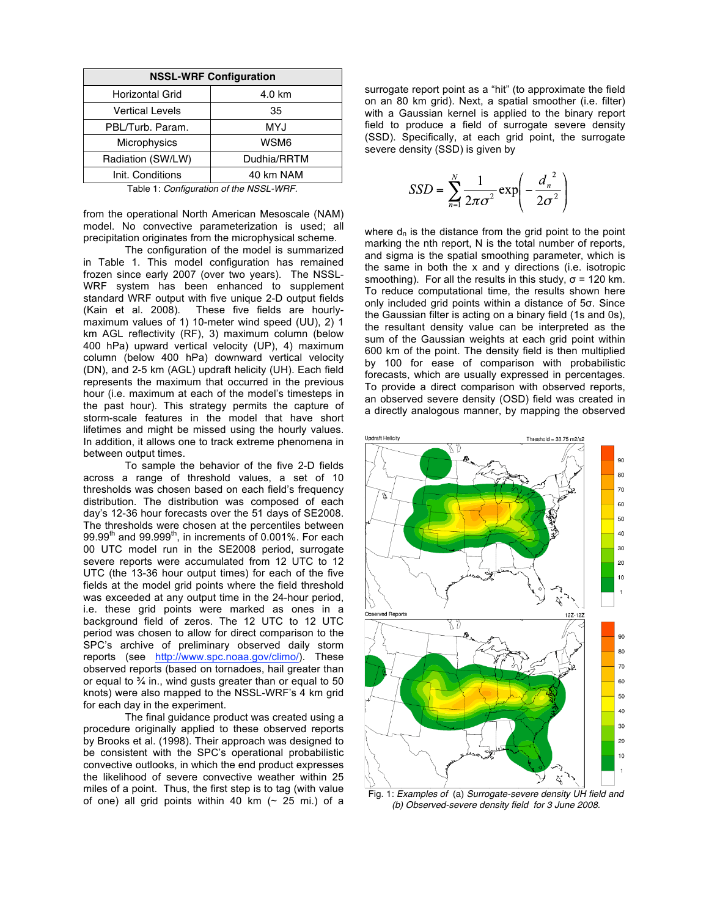| <b>NSSL-WRF Configuration</b> |             |  |  |  |
|-------------------------------|-------------|--|--|--|
| <b>Horizontal Grid</b>        | 4.0 km      |  |  |  |
| <b>Vertical Levels</b>        | 35          |  |  |  |
| PBL/Turb. Param.              | MYJ         |  |  |  |
| Microphysics                  | WSM6        |  |  |  |
| Radiation (SW/LW)             | Dudhia/RRTM |  |  |  |
| Init. Conditions              | 40 km NAM   |  |  |  |

Table 1: *Configuration of the NSSL-WRF.*

from the operational North American Mesoscale (NAM) model. No convective parameterization is used; all precipitation originates from the microphysical scheme.

The configuration of the model is summarized in Table 1. This model configuration has remained frozen since early 2007 (over two years). The NSSL-WRF system has been enhanced to supplement standard WRF output with five unique 2-D output fields (Kain et al. 2008). These five fields are hourlymaximum values of 1) 10-meter wind speed (UU), 2) 1 km AGL reflectivity (RF), 3) maximum column (below 400 hPa) upward vertical velocity (UP), 4) maximum column (below 400 hPa) downward vertical velocity (DN), and 2-5 km (AGL) updraft helicity (UH). Each field represents the maximum that occurred in the previous hour (i.e. maximum at each of the model's timesteps in the past hour). This strategy permits the capture of storm-scale features in the model that have short lifetimes and might be missed using the hourly values. In addition, it allows one to track extreme phenomena in between output times.

To sample the behavior of the five 2-D fields across a range of threshold values, a set of 10 thresholds was chosen based on each field's frequency distribution. The distribution was composed of each day's 12-36 hour forecasts over the 51 days of SE2008. The thresholds were chosen at the percentiles between  $99.99<sup>th</sup>$  and  $99.999<sup>th</sup>$ , in increments of 0.001%. For each 00 UTC model run in the SE2008 period, surrogate severe reports were accumulated from 12 UTC to 12 UTC (the 13-36 hour output times) for each of the five fields at the model grid points where the field threshold was exceeded at any output time in the 24-hour period, i.e. these grid points were marked as ones in a background field of zeros. The 12 UTC to 12 UTC period was chosen to allow for direct comparison to the SPC's archive of preliminary observed daily storm reports (see http://www.spc.noaa.gov/climo/). These observed reports (based on tornadoes, hail greater than or equal to  $\frac{3}{4}$  in., wind qusts greater than or equal to 50 knots) were also mapped to the NSSL-WRF's 4 km grid for each day in the experiment.

The final guidance product was created using a procedure originally applied to these observed reports by Brooks et al. (1998). Their approach was designed to be consistent with the SPC's operational probabilistic convective outlooks, in which the end product expresses the likelihood of severe convective weather within 25 miles of a point. Thus, the first step is to tag (with value of one) all grid points within 40 km  $($   $\sim$  25 mi.) of a

surrogate report point as a "hit" (to approximate the field on an 80 km grid). Next, a spatial smoother (i.e. filter) with a Gaussian kernel is applied to the binary report field to produce a field of surrogate severe density (SSD). Specifically, at each grid point, the surrogate severe density (SSD) is given by

$$
SSD = \sum_{n=1}^{N} \frac{1}{2\pi\sigma^2} \exp\left(-\frac{d_n^2}{2\sigma^2}\right)
$$

where  $d_n$  is the distance from the grid point to the point marking the nth report, N is the total number of reports, and sigma is the spatial smoothing parameter, which is the same in both the x and y directions (i.e. isotropic smoothing). For all the results in this study,  $σ = 120$  km. To reduce computational time, the results shown here only included grid points within a distance of 5σ. Since the Gaussian filter is acting on a binary field (1s and 0s), the resultant density value can be interpreted as the sum of the Gaussian weights at each grid point within 600 km of the point. The density field is then multiplied by 100 for ease of comparison with probabilistic forecasts, which are usually expressed in percentages. To provide a direct comparison with observed reports, an observed severe density (OSD) field was created in a directly analogous manner, by mapping the observed



Fig. 1: *Examples of* (a) *Surrogate-severe density UH field and (b) Observed-severe density field for 3 June 2008.*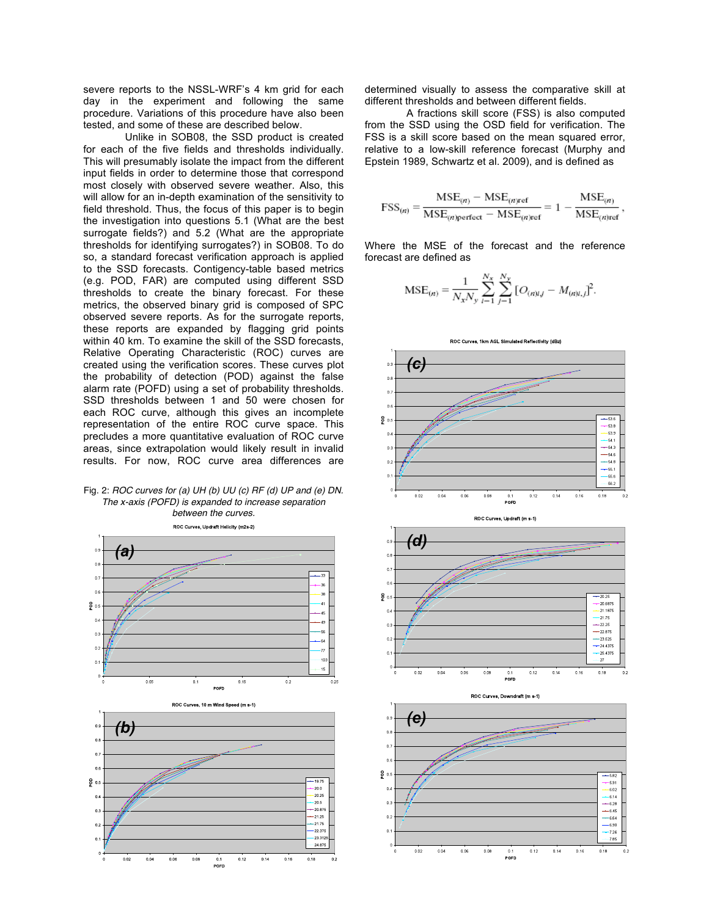severe reports to the NSSL-WRF's 4 km grid for each day in the experiment and following the same procedure. Variations of this procedure have also been tested, and some of these are described below.

Unlike in SOB08, the SSD product is created for each of the five fields and thresholds individually. This will presumably isolate the impact from the different input fields in order to determine those that correspond most closely with observed severe weather. Also, this will allow for an in-depth examination of the sensitivity to field threshold. Thus, the focus of this paper is to begin the investigation into questions 5.1 (What are the best surrogate fields?) and 5.2 (What are the appropriate thresholds for identifying surrogates?) in SOB08. To do so, a standard forecast verification approach is applied to the SSD forecasts. Contigency-table based metrics (e.g. POD, FAR) are computed using different SSD thresholds to create the binary forecast. For these metrics, the observed binary grid is composed of SPC observed severe reports. As for the surrogate reports, these reports are expanded by flagging grid points within 40 km. To examine the skill of the SSD forecasts, Relative Operating Characteristic (ROC) curves are created using the verification scores. These curves plot the probability of detection (POD) against the false alarm rate (POFD) using a set of probability thresholds. SSD thresholds between 1 and 50 were chosen for each ROC curve, although this gives an incomplete representation of the entire ROC curve space. This precludes a more quantitative evaluation of ROC curve areas, since extrapolation would likely result in invalid results. For now, ROC curve area differences are

Fig. 2: *ROC curves for (a) UH (b) UU (c) RF (d) UP and (e) DN. The x-axis (POFD) is expanded to increase separation* 



determined visually to assess the comparative skill at different thresholds and between different fields.

A fractions skill score (FSS) is also computed from the SSD using the OSD field for verification. The FSS is a skill score based on the mean squared error, relative to a low-skill reference forecast (Murphy and Epstein 1989, Schwartz et al. 2009), and is defined as

$$
FSS_{(n)} = \frac{\text{MSE}_{(n)} - \text{MSE}_{(n)\text{ref}}}{\text{MSE}_{(n)\text{perfect}} - \text{MSE}_{(n)\text{ref}}} = 1 - \frac{\text{MSE}_{(n)}}{\text{MSE}_{(n)\text{ref}}},
$$

Where the MSE of the forecast and the reference forecast are defined as

$$
MSE_{(n)} = \frac{1}{N_x N_y} \sum_{i=1}^{N_x} \sum_{j=1}^{N_y} [O_{(n)i,j} - M_{(n)i,j}]^2.
$$

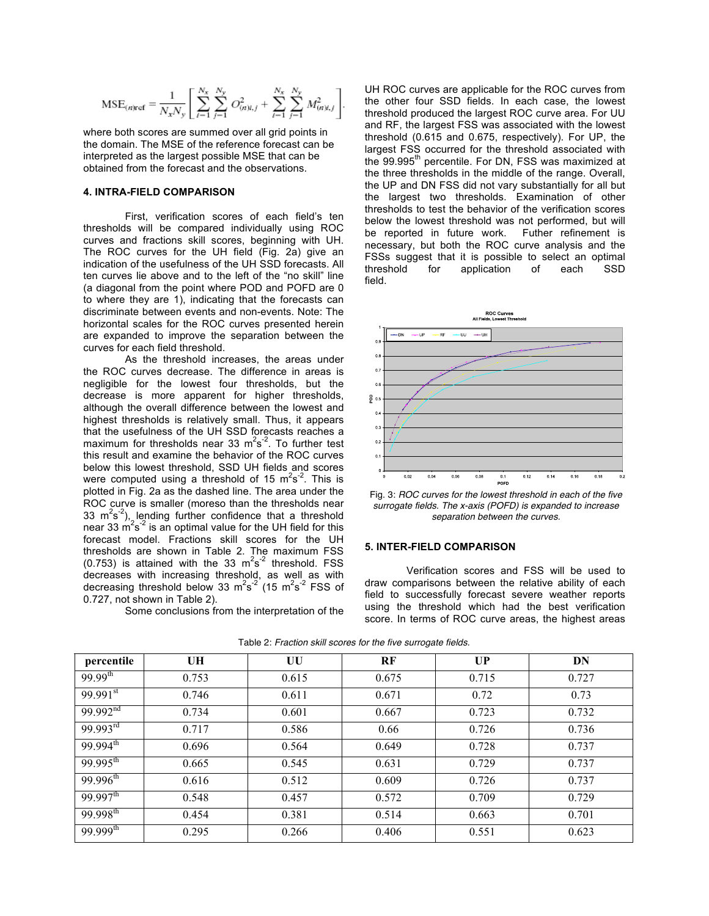$$
\text{MSE}_{(n)\text{ref}} = \frac{1}{N_x N_y} \left[ \sum_{i=1}^{N_x} \sum_{j=1}^{N_y} O_{(n)i,j}^2 + \sum_{i=1}^{N_x} \sum_{j=1}^{N_y} M_{(n)i,j}^2 \right].
$$

where both scores are summed over all grid points in the domain. The MSE of the reference forecast can be interpreted as the largest possible MSE that can be obtained from the forecast and the observations.

#### **4. INTRA-FIELD COMPARISON**

First, verification scores of each field's ten thresholds will be compared individually using ROC curves and fractions skill scores, beginning with UH. The ROC curves for the UH field (Fig. 2a) give an indication of the usefulness of the UH SSD forecasts. All ten curves lie above and to the left of the "no skill" line (a diagonal from the point where POD and POFD are 0 to where they are 1), indicating that the forecasts can discriminate between events and non-events. Note: The horizontal scales for the ROC curves presented herein are expanded to improve the separation between the curves for each field threshold.

As the threshold increases, the areas under the ROC curves decrease. The difference in areas is negligible for the lowest four thresholds, but the decrease is more apparent for higher thresholds, although the overall difference between the lowest and highest thresholds is relatively small. Thus, it appears that the usefulness of the UH SSD forecasts reaches a maximum for thresholds near 33  $m^2s^2$ . To further test this result and examine the behavior of the ROC curves below this lowest threshold, SSD UH fields and scores were computed using a threshold of 15  $\text{m}^2\text{s}^2$ . This is plotted in Fig. 2a as the dashed line. The area under the ROC curve is smaller (moreso than the thresholds near 33  $\text{m}^2\text{s}^{-2}$ ), lending further confidence that a threshold near 33  $\text{m}^2\text{s}^2$  is an optimal value for the UH field for this forecast model. Fractions skill scores for the UH thresholds are shown in Table 2. The maximum FSS (0.753) is attained with the 33  $m^2s^2$  threshold. FSS decreases with increasing threshold, as well as with decreasing threshold below 33  $\text{m}^2\text{s}^{-2}$  (15  $\text{m}^2\text{s}^{-2}$  FSS of 0.727, not shown in Table 2).

Some conclusions from the interpretation of the

UH ROC curves are applicable for the ROC curves from the other four SSD fields. In each case, the lowest threshold produced the largest ROC curve area. For UU and RF, the largest FSS was associated with the lowest threshold (0.615 and 0.675, respectively). For UP, the largest FSS occurred for the threshold associated with the 99.995<sup>th</sup> percentile. For DN, FSS was maximized at the three thresholds in the middle of the range. Overall, the UP and DN FSS did not vary substantially for all but the largest two thresholds. Examination of other thresholds to test the behavior of the verification scores below the lowest threshold was not performed, but will be reported in future work. Futher refinement is necessary, but both the ROC curve analysis and the FSSs suggest that it is possible to select an optimal threshold for application of each SSD field.



Fig. 3: *ROC curves for the lowest threshold in each of the five surrogate fields. The x-axis (POFD) is expanded to increase separation between the curves.*

### **5. INTER-FIELD COMPARISON**

Verification scores and FSS will be used to draw comparisons between the relative ability of each field to successfully forecast severe weather reports using the threshold which had the best verification score. In terms of ROC curve areas, the highest areas

| percentile             | UH    | UU    | RF    | <b>UP</b> | DN    |
|------------------------|-------|-------|-------|-----------|-------|
| $99.99^{th}$           | 0.753 | 0.615 | 0.675 | 0.715     | 0.727 |
| $99.991$ <sup>st</sup> | 0.746 | 0.611 | 0.671 | 0.72      | 0.73  |
| 99.992 <sup>nd</sup>   | 0.734 | 0.601 | 0.667 | 0.723     | 0.732 |
| $99.993$ <sup>rd</sup> | 0.717 | 0.586 | 0.66  | 0.726     | 0.736 |
| $99.994^{th}$          | 0.696 | 0.564 | 0.649 | 0.728     | 0.737 |
| $99.995^{\text{th}}$   | 0.665 | 0.545 | 0.631 | 0.729     | 0.737 |
| $99.996^{th}$          | 0.616 | 0.512 | 0.609 | 0.726     | 0.737 |
| $99.997$ <sup>th</sup> | 0.548 | 0.457 | 0.572 | 0.709     | 0.729 |
| $99.998^{th}$          | 0.454 | 0.381 | 0.514 | 0.663     | 0.701 |
| $99.999^{th}$          | 0.295 | 0.266 | 0.406 | 0.551     | 0.623 |

Table 2: *Fraction skill scores for the five surrogate fields.*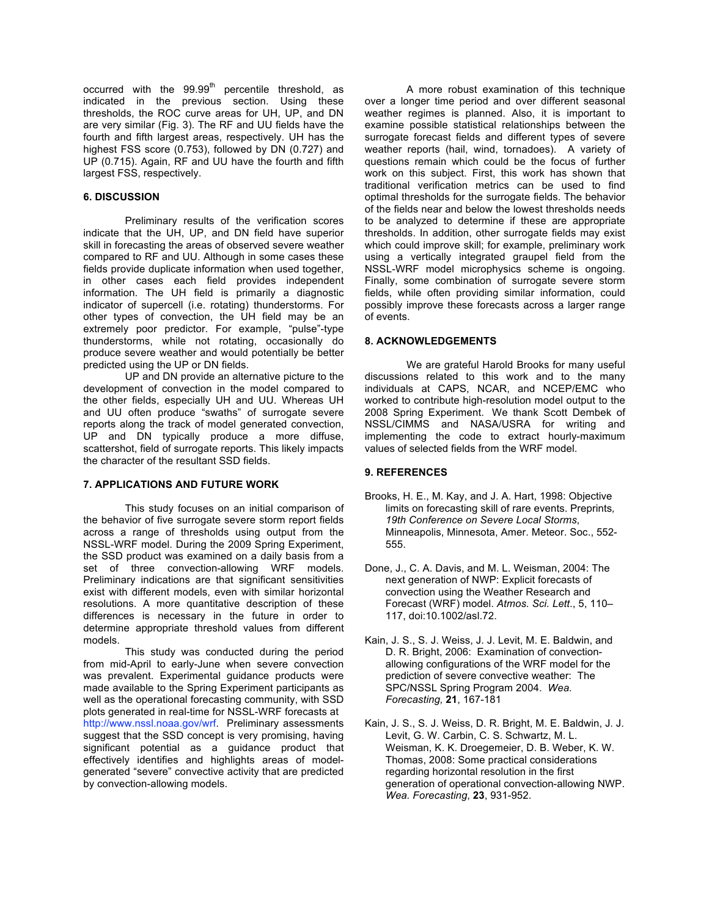occurred with the  $99.99<sup>th</sup>$  percentile threshold, as indicated in the previous section. Using these thresholds, the ROC curve areas for UH, UP, and DN are very similar (Fig. 3). The RF and UU fields have the fourth and fifth largest areas, respectively. UH has the highest FSS score (0.753), followed by DN (0.727) and UP (0.715). Again, RF and UU have the fourth and fifth largest FSS, respectively.

#### **6. DISCUSSION**

Preliminary results of the verification scores indicate that the UH, UP, and DN field have superior skill in forecasting the areas of observed severe weather compared to RF and UU. Although in some cases these fields provide duplicate information when used together, in other cases each field provides independent information. The UH field is primarily a diagnostic indicator of supercell (i.e. rotating) thunderstorms. For other types of convection, the UH field may be an extremely poor predictor. For example, "pulse"-type thunderstorms, while not rotating, occasionally do produce severe weather and would potentially be better predicted using the UP or DN fields.

UP and DN provide an alternative picture to the development of convection in the model compared to the other fields, especially UH and UU. Whereas UH and UU often produce "swaths" of surrogate severe reports along the track of model generated convection, UP and DN typically produce a more diffuse, scattershot, field of surrogate reports. This likely impacts the character of the resultant SSD fields.

#### **7. APPLICATIONS AND FUTURE WORK**

This study focuses on an initial comparison of the behavior of five surrogate severe storm report fields across a range of thresholds using output from the NSSL-WRF model. During the 2009 Spring Experiment, the SSD product was examined on a daily basis from a set of three convection-allowing WRF models. Preliminary indications are that significant sensitivities exist with different models, even with similar horizontal resolutions. A more quantitative description of these differences is necessary in the future in order to determine appropriate threshold values from different models.

This study was conducted during the period from mid-April to early-June when severe convection was prevalent. Experimental guidance products were made available to the Spring Experiment participants as well as the operational forecasting community, with SSD plots generated in real-time for NSSL-WRF forecasts at http://www.nssl.noaa.gov/wrf. Preliminary assessments suggest that the SSD concept is very promising, having significant potential as a guidance product that effectively identifies and highlights areas of modelgenerated "severe" convective activity that are predicted by convection-allowing models.

A more robust examination of this technique over a longer time period and over different seasonal weather regimes is planned. Also, it is important to examine possible statistical relationships between the surrogate forecast fields and different types of severe weather reports (hail, wind, tornadoes). A variety of questions remain which could be the focus of further work on this subject. First, this work has shown that traditional verification metrics can be used to find optimal thresholds for the surrogate fields. The behavior of the fields near and below the lowest thresholds needs to be analyzed to determine if these are appropriate thresholds. In addition, other surrogate fields may exist which could improve skill; for example, preliminary work using a vertically integrated graupel field from the NSSL-WRF model microphysics scheme is ongoing. Finally, some combination of surrogate severe storm fields, while often providing similar information, could possibly improve these forecasts across a larger range of events.

# **8. ACKNOWLEDGEMENTS**

We are grateful Harold Brooks for many useful discussions related to this work and to the many individuals at CAPS, NCAR, and NCEP/EMC who worked to contribute high-resolution model output to the 2008 Spring Experiment. We thank Scott Dembek of NSSL/CIMMS and NASA/USRA for writing and implementing the code to extract hourly-maximum values of selected fields from the WRF model.

## **9. REFERENCES**

- Brooks, H. E., M. Kay, and J. A. Hart, 1998: Objective limits on forecasting skill of rare events. Preprints*, 19th Conference on Severe Local Storms*, Minneapolis, Minnesota, Amer. Meteor. Soc., 552- 555.
- Done, J., C. A. Davis, and M. L. Weisman, 2004: The next generation of NWP: Explicit forecasts of convection using the Weather Research and Forecast (WRF) model. *Atmos. Sci. Lett*., 5, 110– 117, doi:10.1002/asl.72.
- Kain, J. S., S. J. Weiss, J. J. Levit, M. E. Baldwin, and D. R. Bright, 2006: Examination of convectionallowing configurations of the WRF model for the prediction of severe convective weather: The SPC/NSSL Spring Program 2004. *Wea. Forecasting,* **21**, 167-181
- Kain, J. S., S. J. Weiss, D. R. Bright, M. E. Baldwin, J. J. Levit, G. W. Carbin, C. S. Schwartz, M. L. Weisman, K. K. Droegemeier, D. B. Weber, K. W. Thomas, 2008: Some practical considerations regarding horizontal resolution in the first generation of operational convection-allowing NWP. *Wea. Forecasting*, **23**, 931-952.